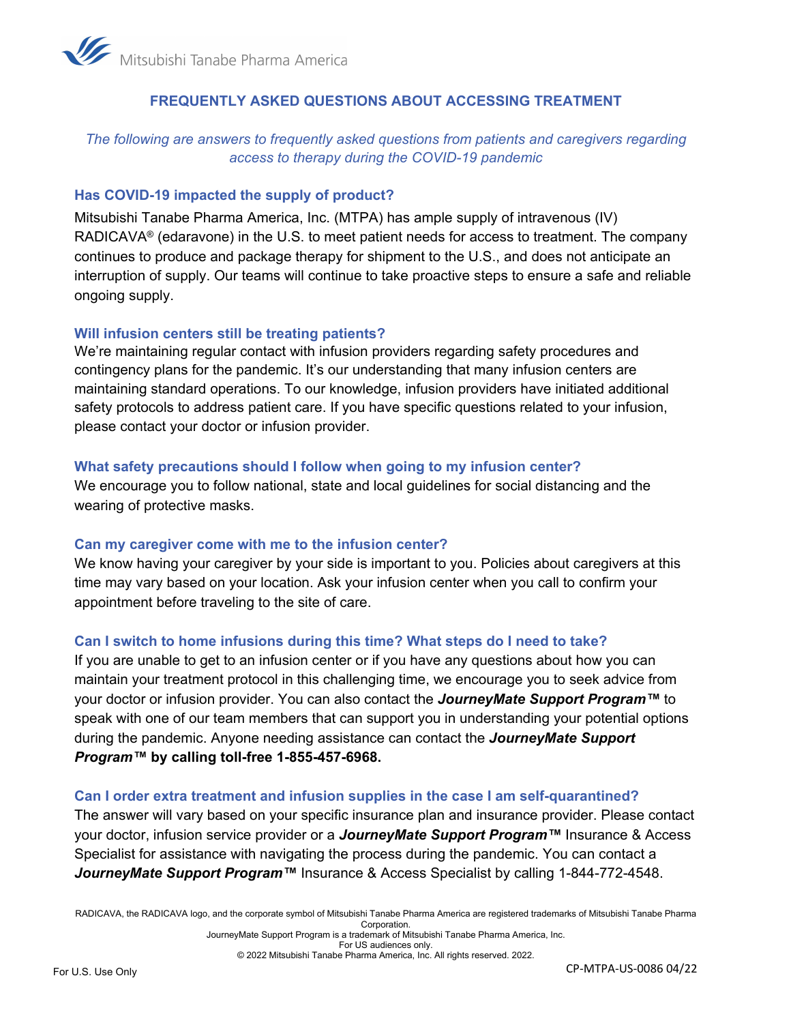

## **FREQUENTLY ASKED QUESTIONS ABOUT ACCESSING TREATMENT**

# *The following are answers to frequently asked questions from patients and caregivers regarding access to therapy during the COVID-19 pandemic*

## **Has COVID-19 impacted the supply of product?**

Mitsubishi Tanabe Pharma America, Inc. (MTPA) has ample supply of intravenous (IV) RADICAVA<sup>®</sup> (edaravone) in the U.S. to meet patient needs for access to treatment. The company continues to produce and package therapy for shipment to the U.S., and does not anticipate an interruption of supply. Our teams will continue to take proactive steps to ensure a safe and reliable ongoing supply.

#### **Will infusion centers still be treating patients?**

We're maintaining regular contact with infusion providers regarding safety procedures and contingency plans for the pandemic. It's our understanding that many infusion centers are maintaining standard operations. To our knowledge, infusion providers have initiated additional safety protocols to address patient care. If you have specific questions related to your infusion, please contact your doctor or infusion provider.

#### **What safety precautions should I follow when going to my infusion center?**

We encourage you to follow national, state and local guidelines for social distancing and the wearing of protective masks.

#### **Can my caregiver come with me to the infusion center?**

We know having your caregiver by your side is important to you. Policies about caregivers at this time may vary based on your location. Ask your infusion center when you call to confirm your appointment before traveling to the site of care.

### **Can I switch to home infusions during this time? What steps do I need to take?**

If you are unable to get to an infusion center or if you have any questions about how you can maintain your treatment protocol in this challenging time, we encourage you to seek advice from your doctor or infusion provider. You can also contact the *JourneyMate Support Program™* to speak with one of our team members that can support you in understanding your potential options during the pandemic. Anyone needing assistance can contact the *JourneyMate Support Program™* **by calling toll-free 1-855-457-6968.**

#### **Can I order extra treatment and infusion supplies in the case I am self-quarantined?**

The answer will vary based on your specific insurance plan and insurance provider. Please contact your doctor, infusion service provider or a *JourneyMate Support Program™* Insurance & Access Specialist for assistance with navigating the process during the pandemic. You can contact a *JourneyMate Support Program™* Insurance & Access Specialist by calling 1-844-772-4548.

RADICAVA, the RADICAVA logo, and the corporate symbol of Mitsubishi Tanabe Pharma America are registered trademarks of Mitsubishi Tanabe Pharma Corporation.

JourneyMate Support Program is a trademark of Mitsubishi Tanabe Pharma America, Inc. For US audiences only.